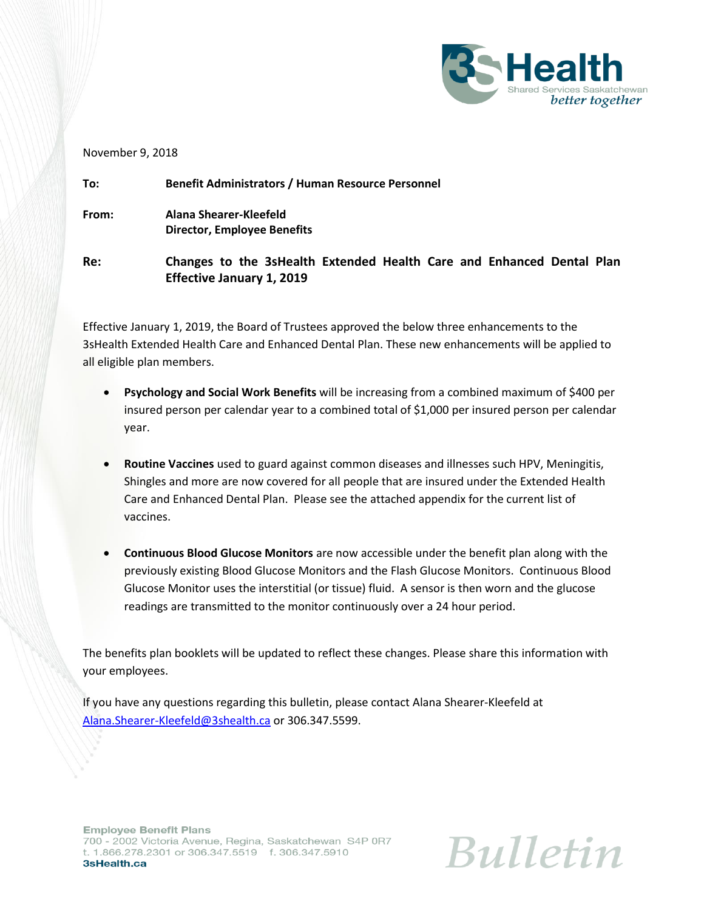

## November 9, 2018

| To:   | <b>Benefit Administrators / Human Resource Personnel</b>                                                  |  |
|-------|-----------------------------------------------------------------------------------------------------------|--|
| From: | Alana Shearer-Kleefeld<br><b>Director, Employee Benefits</b>                                              |  |
| Re:   | Changes to the 3sHealth Extended Health Care and Enhanced Dental Plan<br><b>Effective January 1, 2019</b> |  |

Effective January 1, 2019, the Board of Trustees approved the below three enhancements to the 3sHealth Extended Health Care and Enhanced Dental Plan. These new enhancements will be applied to all eligible plan members.

- **Psychology and Social Work Benefits** will be increasing from a combined maximum of \$400 per insured person per calendar year to a combined total of \$1,000 per insured person per calendar year.
- **Routine Vaccines** used to guard against common diseases and illnesses such HPV, Meningitis, Shingles and more are now covered for all people that are insured under the Extended Health Care and Enhanced Dental Plan. Please see the attached appendix for the current list of vaccines.
- **Continuous Blood Glucose Monitors** are now accessible under the benefit plan along with the previously existing Blood Glucose Monitors and the Flash Glucose Monitors. Continuous Blood Glucose Monitor uses the interstitial (or tissue) fluid. A sensor is then worn and the glucose readings are transmitted to the monitor continuously over a 24 hour period.

The benefits plan booklets will be updated to reflect these changes. Please share this information with your employees.

If you have any questions regarding this bulletin, please contact Alana Shearer-Kleefeld at [Alana.Shearer-Kleefeld@3shealth.ca](mailto:Alana.Shearer-Kleefeld@3shealth.ca) or 306.347.5599.